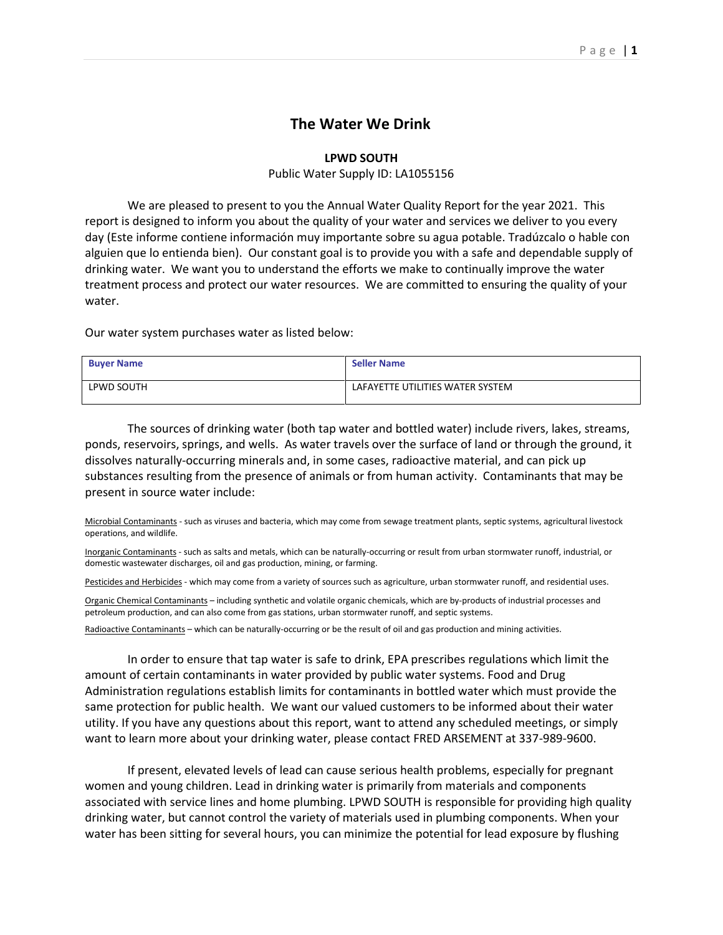## **The Water We Drink**

## **LPWD SOUTH**

## Public Water Supply ID: LA1055156

We are pleased to present to you the Annual Water Quality Report for the year 2021. This report is designed to inform you about the quality of your water and services we deliver to you every day (Este informe contiene información muy importante sobre su agua potable. Tradúzcalo o hable con alguien que lo entienda bien). Our constant goal is to provide you with a safe and dependable supply of drinking water. We want you to understand the efforts we make to continually improve the water treatment process and protect our water resources. We are committed to ensuring the quality of your water.

Our water system purchases water as listed below:

| <b>Buyer Name</b> | <b>Seller Name</b>               |
|-------------------|----------------------------------|
| LPWD SOUTH        | LAFAYETTE UTILITIES WATER SYSTEM |

The sources of drinking water (both tap water and bottled water) include rivers, lakes, streams, ponds, reservoirs, springs, and wells. As water travels over the surface of land or through the ground, it dissolves naturally-occurring minerals and, in some cases, radioactive material, and can pick up substances resulting from the presence of animals or from human activity. Contaminants that may be present in source water include:

Microbial Contaminants - such as viruses and bacteria, which may come from sewage treatment plants, septic systems, agricultural livestock operations, and wildlife.

Inorganic Contaminants - such as salts and metals, which can be naturally-occurring or result from urban stormwater runoff, industrial, or domestic wastewater discharges, oil and gas production, mining, or farming.

Pesticides and Herbicides - which may come from a variety of sources such as agriculture, urban stormwater runoff, and residential uses.

Organic Chemical Contaminants – including synthetic and volatile organic chemicals, which are by-products of industrial processes and petroleum production, and can also come from gas stations, urban stormwater runoff, and septic systems.

Radioactive Contaminants – which can be naturally-occurring or be the result of oil and gas production and mining activities.

In order to ensure that tap water is safe to drink, EPA prescribes regulations which limit the amount of certain contaminants in water provided by public water systems. Food and Drug Administration regulations establish limits for contaminants in bottled water which must provide the same protection for public health. We want our valued customers to be informed about their water utility. If you have any questions about this report, want to attend any scheduled meetings, or simply want to learn more about your drinking water, please contact FRED ARSEMENT at 337-989-9600.

If present, elevated levels of lead can cause serious health problems, especially for pregnant women and young children. Lead in drinking water is primarily from materials and components associated with service lines and home plumbing. LPWD SOUTH is responsible for providing high quality drinking water, but cannot control the variety of materials used in plumbing components. When your water has been sitting for several hours, you can minimize the potential for lead exposure by flushing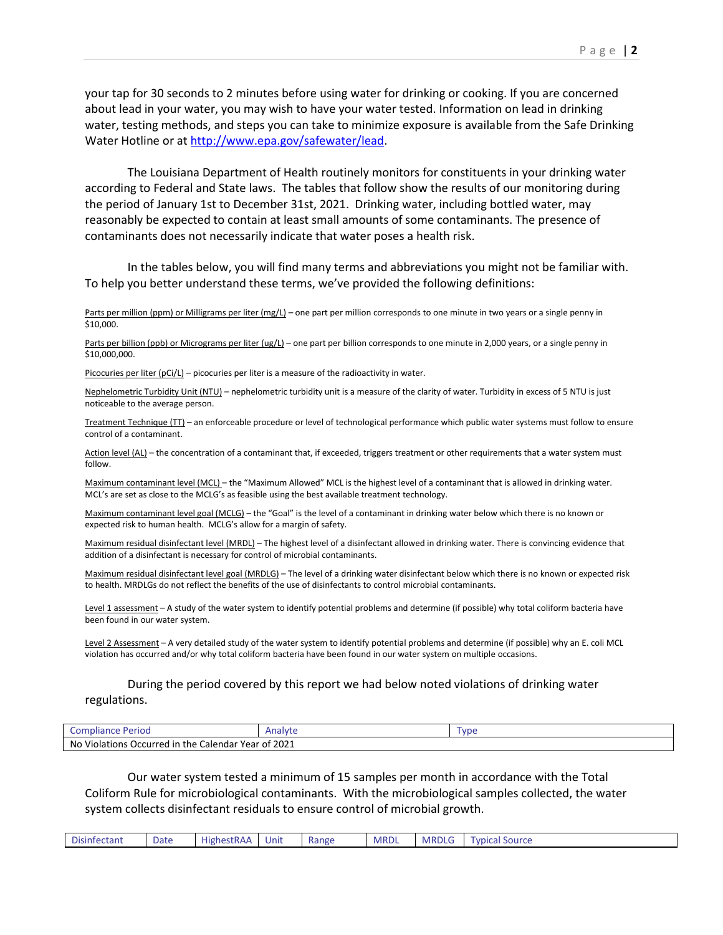your tap for 30 seconds to 2 minutes before using water for drinking or cooking. If you are concerned about lead in your water, you may wish to have your water tested. Information on lead in drinking water, testing methods, and steps you can take to minimize exposure is available from the Safe Drinking Water Hotline or at [http://www.epa.gov/safewater/lead.](http://www.epa.gov/safewater/lead)

The Louisiana Department of Health routinely monitors for constituents in your drinking water according to Federal and State laws. The tables that follow show the results of our monitoring during the period of January 1st to December 31st, 2021. Drinking water, including bottled water, may reasonably be expected to contain at least small amounts of some contaminants. The presence of contaminants does not necessarily indicate that water poses a health risk.

In the tables below, you will find many terms and abbreviations you might not be familiar with. To help you better understand these terms, we've provided the following definitions:

Parts per million (ppm) or Milligrams per liter (mg/L) – one part per million corresponds to one minute in two years or a single penny in \$10,000.

Parts per billion (ppb) or Micrograms per liter (ug/L) – one part per billion corresponds to one minute in 2,000 years, or a single penny in \$10,000,000.

Picocuries per liter  $(pCi/L)$  – picocuries per liter is a measure of the radioactivity in water.

Nephelometric Turbidity Unit (NTU) – nephelometric turbidity unit is a measure of the clarity of water. Turbidity in excess of 5 NTU is just noticeable to the average person.

Treatment Technique (TT) – an enforceable procedure or level of technological performance which public water systems must follow to ensure control of a contaminant.

Action level (AL) – the concentration of a contaminant that, if exceeded, triggers treatment or other requirements that a water system must follow.

Maximum contaminant level (MCL) – the "Maximum Allowed" MCL is the highest level of a contaminant that is allowed in drinking water. MCL's are set as close to the MCLG's as feasible using the best available treatment technology.

Maximum contaminant level goal (MCLG) – the "Goal" is the level of a contaminant in drinking water below which there is no known or expected risk to human health. MCLG's allow for a margin of safety.

Maximum residual disinfectant level (MRDL) – The highest level of a disinfectant allowed in drinking water. There is convincing evidence that addition of a disinfectant is necessary for control of microbial contaminants.

Maximum residual disinfectant level goal (MRDLG) – The level of a drinking water disinfectant below which there is no known or expected risk to health. MRDLGs do not reflect the benefits of the use of disinfectants to control microbial contaminants.

Level 1 assessment – A study of the water system to identify potential problems and determine (if possible) why total coliform bacteria have been found in our water system.

Level 2 Assessment - A very detailed study of the water system to identify potential problems and determine (if possible) why an E. coli MCL violation has occurred and/or why total coliform bacteria have been found in our water system on multiple occasions.

## During the period covered by this report we had below noted violations of drinking water regulations.

| Perioo<br>Com <sup>-</sup><br>mpliance                  | Analyt            | <b>VDE</b> |
|---------------------------------------------------------|-------------------|------------|
| No Violations Occurred in the O<br>. Calendar Year of 1 | <sup>:</sup> 2021 |            |

Our water system tested a minimum of 15 samples per month in accordance with the Total Coliform Rule for microbiological contaminants. With the microbiological samples collected, the water system collects disinfectant residuals to ensure control of microbial growth.

| - 1<br>าfectant<br>Disinf | Date | .<br>-<br>Highestl<br>$\cdots$<br>. מ<br>. | Unr | Range | <b>MRDI</b> | <b>MRDLG</b> | Source<br><b>vpical</b> |
|---------------------------|------|--------------------------------------------|-----|-------|-------------|--------------|-------------------------|
|---------------------------|------|--------------------------------------------|-----|-------|-------------|--------------|-------------------------|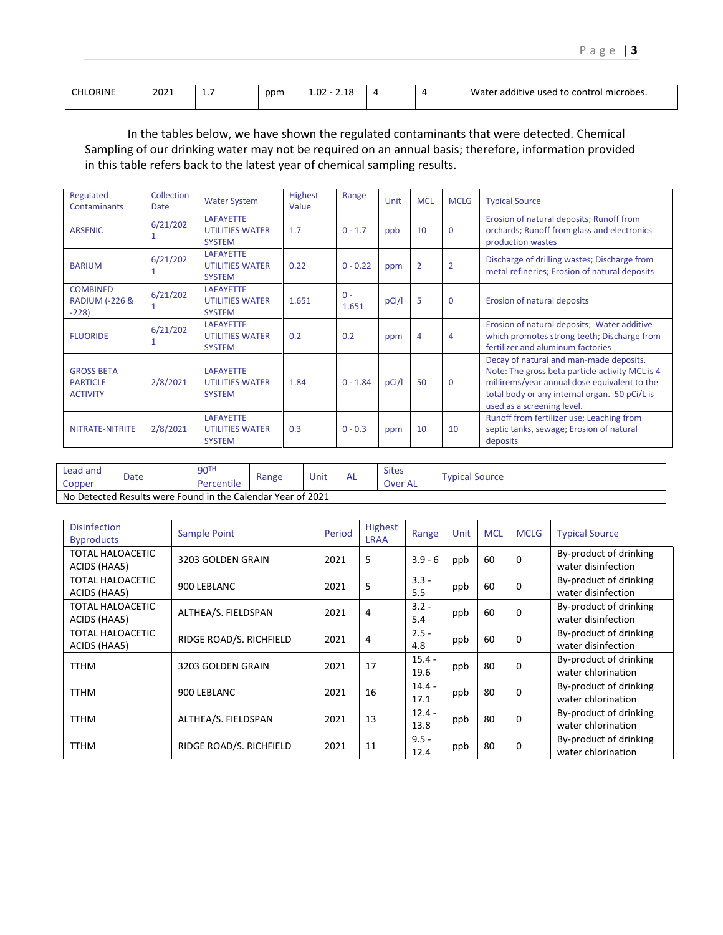| $\sim$ $\sim$ $\sim$ $\sim$<br>CHI.<br>JRINI | 2021 | . | ppm | $\sim$<br>1.UZ<br>2.10 |  | .<br>Water<br>control microbes. י<br>: additive<br>used to |
|----------------------------------------------|------|---|-----|------------------------|--|------------------------------------------------------------|
|                                              |      |   |     | ___<br>____            |  |                                                            |

In the tables below, we have shown the regulated contaminants that were detected. Chemical Sampling of our drinking water may not be required on an annual basis; therefore, information provided in this table refers back to the latest year of chemical sampling results.

| Regulated<br><b>Contaminants</b>                        | Collection<br><b>Date</b> | <b>Water System</b>                                         | <b>Highest</b><br>Value | Range          | Unit  | <b>MCL</b>     | <b>MCLG</b>    | <b>Typical Source</b>                                                                                                                                                                                                     |
|---------------------------------------------------------|---------------------------|-------------------------------------------------------------|-------------------------|----------------|-------|----------------|----------------|---------------------------------------------------------------------------------------------------------------------------------------------------------------------------------------------------------------------------|
| <b>ARSENIC</b>                                          | 6/21/202<br>1             | <b>LAFAYETTE</b><br><b>UTILITIES WATER</b><br><b>SYSTEM</b> | 1.7                     | $0 - 1.7$      | ppb   | 10             | $\Omega$       | Erosion of natural deposits; Runoff from<br>orchards; Runoff from glass and electronics<br>production wastes                                                                                                              |
| <b>BARIUM</b>                                           | 6/21/202<br>1             | <b>LAFAYETTE</b><br><b>UTILITIES WATER</b><br><b>SYSTEM</b> | 0.22                    | $0 - 0.22$     | ppm   | $\overline{2}$ | $\overline{2}$ | Discharge of drilling wastes; Discharge from<br>metal refineries; Erosion of natural deposits                                                                                                                             |
| <b>COMBINED</b><br><b>RADIUM (-226 &amp;</b><br>$-228$  | 6/21/202                  | <b>LAFAYETTE</b><br><b>UTILITIES WATER</b><br><b>SYSTEM</b> | 1.651                   | $0 -$<br>1.651 | pCi/l | 5              | $\Omega$       | Erosion of natural deposits                                                                                                                                                                                               |
| <b>FLUORIDE</b>                                         | 6/21/202<br>1             | <b>LAFAYETTE</b><br><b>UTILITIES WATER</b><br><b>SYSTEM</b> | 0.2                     | 0.2            | ppm   | $\overline{4}$ | 4              | Erosion of natural deposits; Water additive<br>which promotes strong teeth; Discharge from<br>fertilizer and aluminum factories                                                                                           |
| <b>GROSS BETA</b><br><b>PARTICLE</b><br><b>ACTIVITY</b> | 2/8/2021                  | <b>LAFAYETTE</b><br><b>UTILITIES WATER</b><br><b>SYSTEM</b> | 1.84                    | $0 - 1.84$     | pCi/l | 50             | $\mathbf 0$    | Decay of natural and man-made deposits.<br>Note: The gross beta particle activity MCL is 4<br>millirems/year annual dose equivalent to the<br>total body or any internal organ. 50 pCi/L is<br>used as a screening level. |
| NITRATE-NITRITE                                         | 2/8/2021                  | <b>LAFAYETTE</b><br><b>UTILITIES WATER</b><br><b>SYSTEM</b> | 0.3                     | $0 - 0.3$      | ppm   | 10             | 10             | Runoff from fertilizer use; Leaching from<br>septic tanks, sewage; Erosion of natural<br>deposits                                                                                                                         |

| Lead and<br>Copper | Date                                                        | 90 <sup>TH</sup><br>Percentile | Range | Unit | - AL | <b>Sites</b><br>Over AL | Typical Source |  |  |
|--------------------|-------------------------------------------------------------|--------------------------------|-------|------|------|-------------------------|----------------|--|--|
|                    | No Detected Results were Found in the Calendar Year of 2021 |                                |       |      |      |                         |                |  |  |

| <b>Disinfection</b><br><b>Byproducts</b> | Sample Point            | Period | Highest<br><b>LRAA</b> | Range            | Unit | <b>MCL</b> | <b>MCLG</b> | <b>Typical Source</b>                        |
|------------------------------------------|-------------------------|--------|------------------------|------------------|------|------------|-------------|----------------------------------------------|
| <b>TOTAL HALOACETIC</b><br>ACIDS (HAA5)  | 3203 GOLDEN GRAIN       | 2021   | 5                      | $3.9 - 6$        | ppb  | 60         | $\Omega$    | By-product of drinking<br>water disinfection |
| <b>TOTAL HALOACETIC</b><br>ACIDS (HAA5)  | 900 LEBLANC             | 2021   | 5                      | $3.3 -$<br>5.5   | ppb  | 60         | 0           | By-product of drinking<br>water disinfection |
| TOTAL HALOACETIC<br>ACIDS (HAA5)         | ALTHEA/S. FIELDSPAN     | 2021   | 4                      | $3.2 -$<br>5.4   | ppb  | 60         | 0           | By-product of drinking<br>water disinfection |
| TOTAL HALOACETIC<br>ACIDS (HAA5)         | RIDGE ROAD/S. RICHFIELD | 2021   | 4                      | $2.5 -$<br>4.8   | ppb  | 60         | $\Omega$    | By-product of drinking<br>water disinfection |
| <b>TTHM</b>                              | 3203 GOLDEN GRAIN       | 2021   | 17                     | $15.4 -$<br>19.6 | ppb  | 80         | $\Omega$    | By-product of drinking<br>water chlorination |
| <b>TTHM</b>                              | 900 LEBLANC             | 2021   | 16                     | $14.4 -$<br>17.1 | ppb  | 80         | $\Omega$    | By-product of drinking<br>water chlorination |
| <b>TTHM</b>                              | ALTHEA/S. FIELDSPAN     | 2021   | 13                     | $12.4 -$<br>13.8 | ppb  | 80         | $\Omega$    | By-product of drinking<br>water chlorination |
| <b>TTHM</b>                              | RIDGE ROAD/S. RICHFIELD | 2021   | 11                     | $9.5 -$<br>12.4  | ppb  | 80         | 0           | By-product of drinking<br>water chlorination |